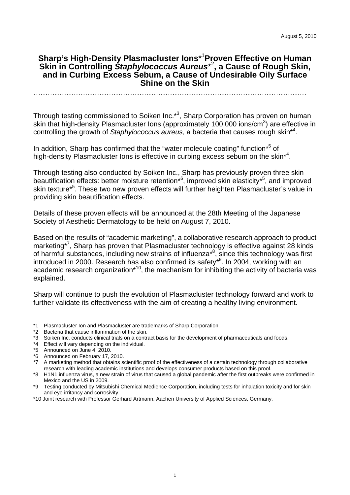# **Sharp's High-Density Plasmacluster Ions**\* 1 **Proven Effective on Human Skin in Controlling** *Staphylococcus Aureus*\* 2 **, a Cause of Rough Skin, and in Curbing Excess Sebum, a Cause of Undesirable Oily Surface Shine on the Skin**

Through testing commissioned to Soiken Inc.<sup>\*3</sup>, Sharp Corporation has proven on human skin that high-density Plasmacluster Ions (approximately 100,000 ions/cm<sup>3</sup>) are effective in controlling the growth of *Staphylococcus aureus*, a bacteria that causes rough skin\*4 .

In addition, Sharp has confirmed that the "water molecule coating" function\*<sup>5</sup> of high-density Plasmacluster lons is effective in curbing excess sebum on the skin<sup>\*4</sup>.

Through testing also conducted by Soiken Inc., Sharp has previously proven three skin beautification effects: better moisture retention<sup>\*6</sup>, improved skin elasticity<sup>\*5</sup>, and improved skin texture<sup>\*5</sup>. These two new proven effects will further heighten Plasmacluster's value in providing skin beautification effects.

Details of these proven effects will be announced at the 28th Meeting of the Japanese Society of Aesthetic Dermatology to be held on August 7, 2010.

Based on the results of "academic marketing", a collaborative research approach to product marketing\*<sup>7</sup> , Sharp has proven that Plasmacluster technology is effective against 28 kinds of harmful substances, including new strains of influenza<sup>\*8</sup>, since this technology was first introduced in 2000. Research has also confirmed its safety\*9 . In 2004, working with an academic research organization<sup>\*10</sup>, the mechanism for inhibiting the activity of bacteria was explained.

Sharp will continue to push the evolution of Plasmacluster technology forward and work to further validate its effectiveness with the aim of creating a healthy living environment.

- \*1 Plasmacluster Ion and Plasmacluster are trademarks of Sharp Corporation.
- \*2 Bacteria that cause inflammation of the skin.
- \*3 Soiken Inc. conducts clinical trials on a contract basis for the development of pharmaceuticals and foods.
- \*4 Effect will vary depending on the individual.
- \*5 Announced on June 4, 2010.
- \*6 Announced on February 17, 2010.
- \*7 A marketing method that obtains scientific proof of the effectiveness of a certain technology through collaborative research with leading academic institutions and develops consumer products based on this proof.
- \*8 H1N1 influenza virus, a new strain of virus that caused a global pandemic after the first outbreaks were confirmed in Mexico and the US in 2009.
- \*9 Testing conducted by Mitsubishi Chemical Medience Corporation, including tests for inhalation toxicity and for skin and eye irritancy and corrosivity.
- \*10 Joint research with Professor Gerhard Artmann, Aachen University of Applied Sciences, Germany.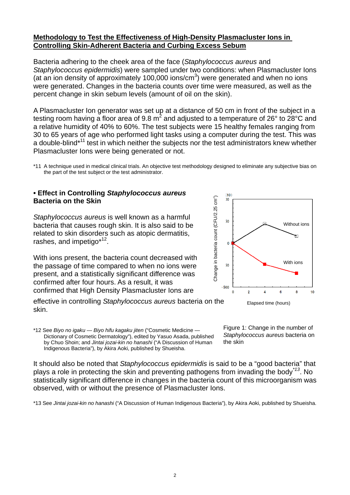#### **Methodology to Test the Effectiveness of High-Density Plasmacluster Ions in Controlling Skin-Adherent Bacteria and Curbing Excess Sebum**

Bacteria adhering to the cheek area of the face (*Staphylococcus aureus* and *Staphylococcus epidermidis*) were sampled under two conditions: when Plasmacluster Ions (at an ion density of approximately 100,000 ions/cm<sup>3</sup>) were generated and when no ions were generated. Changes in the bacteria counts over time were measured, as well as the percent change in skin sebum levels (amount of oil on the skin).

A Plasmacluster Ion generator was set up at a distance of 50 cm in front of the subject in a testing room having a floor area of 9.8 m<sup>2</sup> and adjusted to a temperature of 26° to 28°C and a relative humidity of 40% to 60%. The test subjects were 15 healthy females ranging from 30 to 65 years of age who performed light tasks using a computer during the test. This was a double-blind<sup>\*11</sup> test in which neither the subjects nor the test administrators knew whether Plasmacluster Ions were being generated or not.

## **• Effect in Controlling** *Staphylococcus aureus*  **Bacteria on the Skin**

*Staphylococcus aureus* is well known as a harmful bacteria that causes rough skin. It is also said to be related to skin disorders such as atopic dermatitis, rashes, and impetigo\*<sup>12</sup>.

With ions present, the bacteria count decreased with the passage of time compared to when no ions were present, and a statistically significant difference was confirmed after four hours. As a result, it was confirmed that High Density Plasmacluster Ions are

effective in controlling *Staphylococcus aureus* bacteria on the skin.

\*12 See *Biyo no igaku — Biyo hifu kagaku jiten* ("Cosmetic Medicine — Dictionary of Cosmetic Dermatology"), edited by Yasuo Asada, published by Chuo Shoin; and *Jintai jozai-kin no hanashi* ("A Discussion of Human Indigenous Bacteria"), by Akira Aoki, published by Shueisha.

Figure 1: Change in the number of *Staphylococcus aureus* bacteria on the skin

It should also be noted that *Staphylococcus epidermidis* is said to be a "good bacteria" that plays a role in protecting the skin and preventing pathogens from invading the body*\*13*. No statistically significant difference in changes in the bacteria count of this microorganism was observed, with or without the presence of Plasmacluster Ions.

\*13 See *Jintai jozai-kin no hanashi* ("A Discussion of Human Indigenous Bacteria"), by Akira Aoki, published by Shueisha.



<sup>\*11</sup> A technique used in medical clinical trials. An objective test methodology designed to eliminate any subjective bias on the part of the test subject or the test administrator.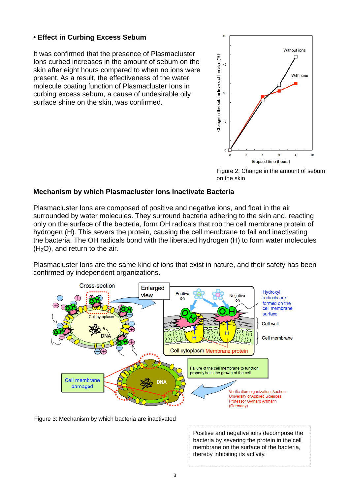# **• Effect in Curbing Excess Sebum**

It was confirmed that the presence of Plasmacluster Ions curbed increases in the amount of sebum on the skin after eight hours compared to when no ions were present. As a result, the effectiveness of the water molecule coating function of Plasmacluster Ions in curbing excess sebum, a cause of undesirable oily surface shine on the skin, was confirmed.



Figure 2: Change in the amount of sebum on the skin

## **Mechanism by which Plasmacluster Ions Inactivate Bacteria**

Plasmacluster Ions are composed of positive and negative ions, and float in the air surrounded by water molecules. They surround bacteria adhering to the skin and, reacting only on the surface of the bacteria, form OH radicals that rob the cell membrane protein of hydrogen (H). This severs the protein, causing the cell membrane to fail and inactivating the bacteria. The OH radicals bond with the liberated hydrogen (H) to form water molecules  $(H<sub>2</sub>O)$ , and return to the air.

Plasmacluster Ions are the same kind of ions that exist in nature, and their safety has been confirmed by independent organizations.



Figure 3: Mechanism by which bacteria are inactivated

Positive and negative ions decompose the bacteria by severing the protein in the cell membrane on the surface of the bacteria, thereby inhibiting its activity.